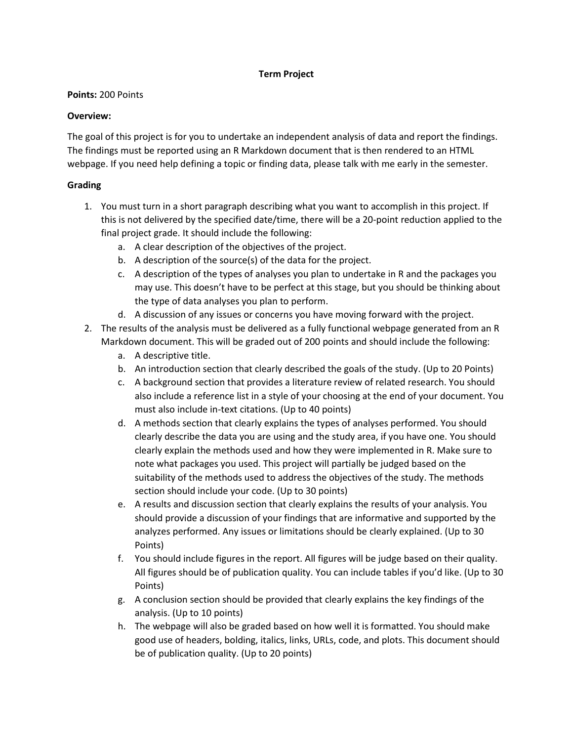### **Term Project**

### **Points:** 200 Points

## **Overview:**

The goal of this project is for you to undertake an independent analysis of data and report the findings. The findings must be reported using an R Markdown document that is then rendered to an HTML webpage. If you need help defining a topic or finding data, please talk with me early in the semester.

# **Grading**

- 1. You must turn in a short paragraph describing what you want to accomplish in this project. If this is not delivered by the specified date/time, there will be a 20-point reduction applied to the final project grade. It should include the following:
	- a. A clear description of the objectives of the project.
	- b. A description of the source(s) of the data for the project.
	- c. A description of the types of analyses you plan to undertake in R and the packages you may use. This doesn't have to be perfect at this stage, but you should be thinking about the type of data analyses you plan to perform.
	- d. A discussion of any issues or concerns you have moving forward with the project.
- 2. The results of the analysis must be delivered as a fully functional webpage generated from an R Markdown document. This will be graded out of 200 points and should include the following:
	- a. A descriptive title.
	- b. An introduction section that clearly described the goals of the study. (Up to 20 Points)
	- c. A background section that provides a literature review of related research. You should also include a reference list in a style of your choosing at the end of your document. You must also include in-text citations. (Up to 40 points)
	- d. A methods section that clearly explains the types of analyses performed. You should clearly describe the data you are using and the study area, if you have one. You should clearly explain the methods used and how they were implemented in R. Make sure to note what packages you used. This project will partially be judged based on the suitability of the methods used to address the objectives of the study. The methods section should include your code. (Up to 30 points)
	- e. A results and discussion section that clearly explains the results of your analysis. You should provide a discussion of your findings that are informative and supported by the analyzes performed. Any issues or limitations should be clearly explained. (Up to 30 Points)
	- f. You should include figures in the report. All figures will be judge based on their quality. All figures should be of publication quality. You can include tables if you'd like. (Up to 30 Points)
	- g. A conclusion section should be provided that clearly explains the key findings of the analysis. (Up to 10 points)
	- h. The webpage will also be graded based on how well it is formatted. You should make good use of headers, bolding, italics, links, URLs, code, and plots. This document should be of publication quality. (Up to 20 points)